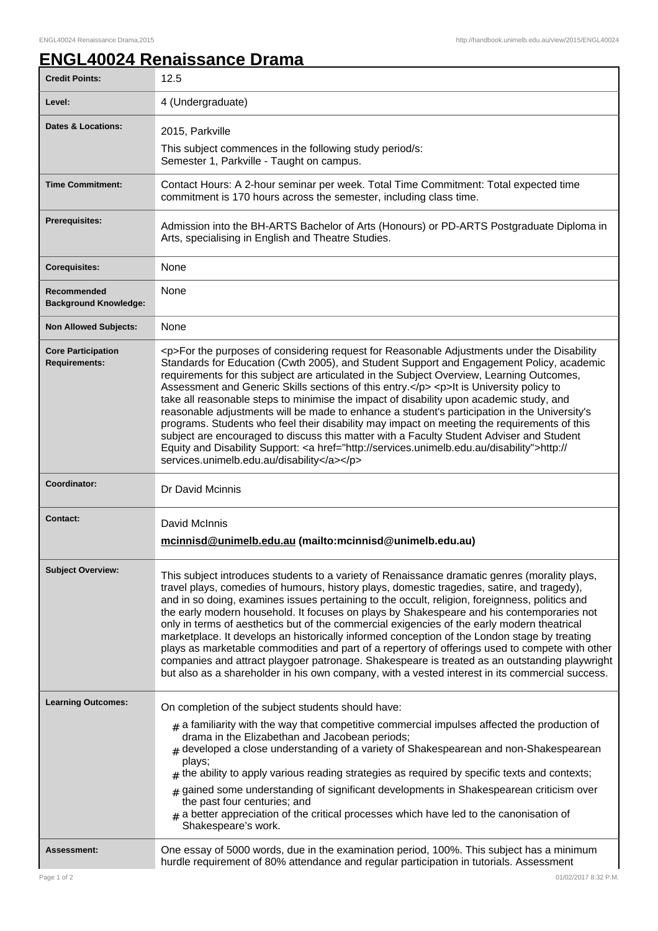٦

## **ENGL40024 Renaissance Drama**

| <b>Credit Points:</b>                             | 12.5                                                                                                                                                                                                                                                                                                                                                                                                                                                                                                                                                                                                                                                                                                                                                                                                                                                                                                                         |
|---------------------------------------------------|------------------------------------------------------------------------------------------------------------------------------------------------------------------------------------------------------------------------------------------------------------------------------------------------------------------------------------------------------------------------------------------------------------------------------------------------------------------------------------------------------------------------------------------------------------------------------------------------------------------------------------------------------------------------------------------------------------------------------------------------------------------------------------------------------------------------------------------------------------------------------------------------------------------------------|
| Level:                                            | 4 (Undergraduate)                                                                                                                                                                                                                                                                                                                                                                                                                                                                                                                                                                                                                                                                                                                                                                                                                                                                                                            |
| <b>Dates &amp; Locations:</b>                     | 2015, Parkville                                                                                                                                                                                                                                                                                                                                                                                                                                                                                                                                                                                                                                                                                                                                                                                                                                                                                                              |
|                                                   | This subject commences in the following study period/s:<br>Semester 1, Parkville - Taught on campus.                                                                                                                                                                                                                                                                                                                                                                                                                                                                                                                                                                                                                                                                                                                                                                                                                         |
| <b>Time Commitment:</b>                           | Contact Hours: A 2-hour seminar per week. Total Time Commitment: Total expected time<br>commitment is 170 hours across the semester, including class time.                                                                                                                                                                                                                                                                                                                                                                                                                                                                                                                                                                                                                                                                                                                                                                   |
| Prerequisites:                                    | Admission into the BH-ARTS Bachelor of Arts (Honours) or PD-ARTS Postgraduate Diploma in<br>Arts, specialising in English and Theatre Studies.                                                                                                                                                                                                                                                                                                                                                                                                                                                                                                                                                                                                                                                                                                                                                                               |
| <b>Corequisites:</b>                              | None                                                                                                                                                                                                                                                                                                                                                                                                                                                                                                                                                                                                                                                                                                                                                                                                                                                                                                                         |
| Recommended<br><b>Background Knowledge:</b>       | None                                                                                                                                                                                                                                                                                                                                                                                                                                                                                                                                                                                                                                                                                                                                                                                                                                                                                                                         |
| <b>Non Allowed Subjects:</b>                      | None                                                                                                                                                                                                                                                                                                                                                                                                                                                                                                                                                                                                                                                                                                                                                                                                                                                                                                                         |
| <b>Core Participation</b><br><b>Requirements:</b> | <p>For the purposes of considering request for Reasonable Adjustments under the Disability<br/>Standards for Education (Cwth 2005), and Student Support and Engagement Policy, academic<br/>requirements for this subject are articulated in the Subject Overview, Learning Outcomes,<br/>Assessment and Generic Skills sections of this entry.</p> <p>It is University policy to<br/>take all reasonable steps to minimise the impact of disability upon academic study, and<br/>reasonable adjustments will be made to enhance a student's participation in the University's<br/>programs. Students who feel their disability may impact on meeting the requirements of this<br/>subject are encouraged to discuss this matter with a Faculty Student Adviser and Student<br/>Equity and Disability Support: &lt; a href="http://services.unimelb.edu.au/disability"&gt;http://<br/>services.unimelb.edu.au/disability</p> |
|                                                   |                                                                                                                                                                                                                                                                                                                                                                                                                                                                                                                                                                                                                                                                                                                                                                                                                                                                                                                              |
| Coordinator:                                      | Dr David Mcinnis                                                                                                                                                                                                                                                                                                                                                                                                                                                                                                                                                                                                                                                                                                                                                                                                                                                                                                             |
| Contact:                                          | David McInnis<br>mcinnisd@unimelb.edu.au (mailto:mcinnisd@unimelb.edu.au)                                                                                                                                                                                                                                                                                                                                                                                                                                                                                                                                                                                                                                                                                                                                                                                                                                                    |
| <b>Subject Overview:</b>                          | This subject introduces students to a variety of Renaissance dramatic genres (morality plays,<br>travel plays, comedies of humours, history plays, domestic tragedies, satire, and tragedy),<br>and in so doing, examines issues pertaining to the occult, religion, foreignness, politics and<br>the early modern household. It focuses on plays by Shakespeare and his contemporaries not<br>only in terms of aesthetics but of the commercial exigencies of the early modern theatrical<br>marketplace. It develops an historically informed conception of the London stage by treating<br>plays as marketable commodities and part of a repertory of offerings used to compete with other<br>companies and attract playgoer patronage. Shakespeare is treated as an outstanding playwright<br>but also as a shareholder in his own company, with a vested interest in its commercial success.                            |
| <b>Learning Outcomes:</b>                         | On completion of the subject students should have:<br>$_{\text{\#}}$ a familiarity with the way that competitive commercial impulses affected the production of<br>drama in the Elizabethan and Jacobean periods;<br>$#$ developed a close understanding of a variety of Shakespearean and non-Shakespearean<br>plays;<br>$#$ the ability to apply various reading strategies as required by specific texts and contexts;<br>$#$ gained some understanding of significant developments in Shakespearean criticism over<br>the past four centuries; and<br>$_{\text{\#}}$ a better appreciation of the critical processes which have led to the canonisation of<br>Shakespeare's work.                                                                                                                                                                                                                                        |